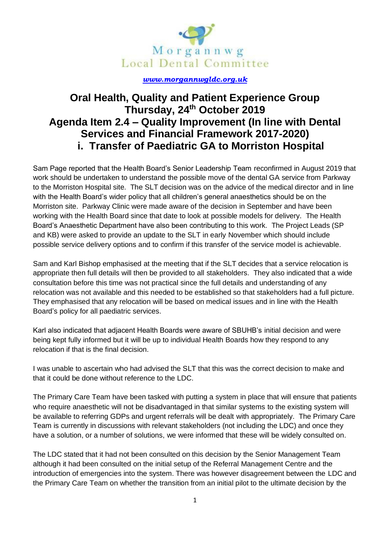

## *[www.morgannwgldc.org.uk](http://www.morgannwgldc.org.uk/)*

## **Oral Health, Quality and Patient Experience Group Thursday, 24th October 2019 Agenda Item 2.4 – Quality Improvement (In line with Dental Services and Financial Framework 2017-2020) i. Transfer of Paediatric GA to Morriston Hospital**

Sam Page reported that the Health Board's Senior Leadership Team reconfirmed in August 2019 that work should be undertaken to understand the possible move of the dental GA service from Parkway to the Morriston Hospital site. The SLT decision was on the advice of the medical director and in line with the Health Board's wider policy that all children's general anaesthetics should be on the Morriston site. Parkway Clinic were made aware of the decision in September and have been working with the Health Board since that date to look at possible models for delivery. The Health Board's Anaesthetic Department have also been contributing to this work. The Project Leads (SP and KB) were asked to provide an update to the SLT in early November which should include possible service delivery options and to confirm if this transfer of the service model is achievable.

Sam and Karl Bishop emphasised at the meeting that if the SLT decides that a service relocation is appropriate then full details will then be provided to all stakeholders. They also indicated that a wide consultation before this time was not practical since the full details and understanding of any relocation was not available and this needed to be established so that stakeholders had a full picture. They emphasised that any relocation will be based on medical issues and in line with the Health Board's policy for all paediatric services.

Karl also indicated that adjacent Health Boards were aware of SBUHB's initial decision and were being kept fully informed but it will be up to individual Health Boards how they respond to any relocation if that is the final decision.

I was unable to ascertain who had advised the SLT that this was the correct decision to make and that it could be done without reference to the LDC.

The Primary Care Team have been tasked with putting a system in place that will ensure that patients who require anaesthetic will not be disadvantaged in that similar systems to the existing system will be available to referring GDPs and urgent referrals will be dealt with appropriately. The Primary Care Team is currently in discussions with relevant stakeholders (not including the LDC) and once they have a solution, or a number of solutions, we were informed that these will be widely consulted on.

The LDC stated that it had not been consulted on this decision by the Senior Management Team although it had been consulted on the initial setup of the Referral Management Centre and the introduction of emergencies into the system. There was however disagreement between the LDC and the Primary Care Team on whether the transition from an initial pilot to the ultimate decision by the